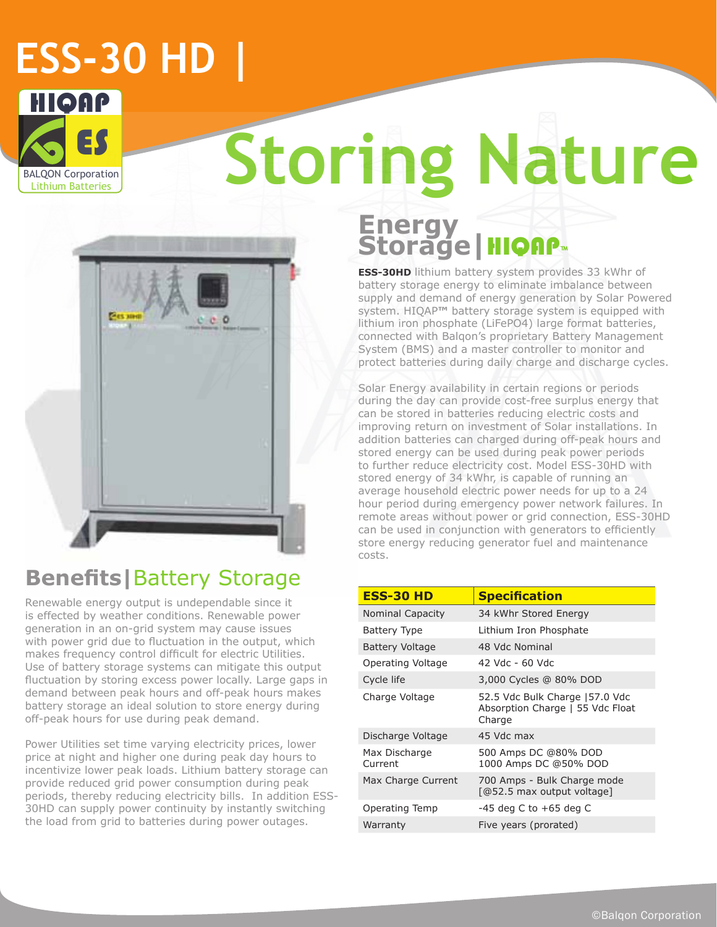# **ESS-30 HD |**



# **Storing Nature**



### **Benefits|**Battery Storage

Renewable energy output is undependable since it is effected by weather conditions. Renewable power generation in an on-grid system may cause issues with power grid due to fluctuation in the output, which makes frequency control difficult for electric Utilities. Use of battery storage systems can mitigate this output fluctuation by storing excess power locally. Large gaps in demand between peak hours and off-peak hours makes battery storage an ideal solution to store energy during off-peak hours for use during peak demand.

Power Utilities set time varying electricity prices, lower price at night and higher one during peak day hours to incentivize lower peak loads. Lithium battery storage can provide reduced grid power consumption during peak periods, thereby reducing electricity bills. In addition ESS-30HD can supply power continuity by instantly switching the load from grid to batteries during power outages.

### **Energy Storage|**HIQAP**™**

**ESS-30HD** lithium battery system provides 33 kWhr of battery storage energy to eliminate imbalance between supply and demand of energy generation by Solar Powered system. HIQAP**™** battery storage system is equipped with lithium iron phosphate (LiFePO4) large format batteries, connected with Balqon's proprietary Battery Management System (BMS) and a master controller to monitor and protect batteries during daily charge and discharge cycles.

Solar Energy availability in certain regions or periods during the day can provide cost-free surplus energy that can be stored in batteries reducing electric costs and improving return on investment of Solar installations. In addition batteries can charged during off-peak hours and stored energy can be used during peak power periods to further reduce electricity cost. Model ESS-30HD with stored energy of 34 kWhr, is capable of running an average household electric power needs for up to a 24 hour period during emergency power network failures. In remote areas without power or grid connection, ESS-30HD can be used in conjunction with generators to efficiently store energy reducing generator fuel and maintenance costs.

| <b>ESS-30 HD</b>         | <b>Specification</b>                                                         |
|--------------------------|------------------------------------------------------------------------------|
| <b>Nominal Capacity</b>  | 34 kWhr Stored Energy                                                        |
| <b>Battery Type</b>      | Lithium Iron Phosphate                                                       |
| Battery Voltage          | 48 Vdc Nominal                                                               |
| Operating Voltage        | 42 Vdc - 60 Vdc                                                              |
| Cycle life               | 3,000 Cycles @ 80% DOD                                                       |
| Charge Voltage           | 52.5 Vdc Bulk Charge 157.0 Vdc<br>Absorption Charge   55 Vdc Float<br>Charge |
| Discharge Voltage        | 45 Vdc max                                                                   |
| Max Discharge<br>Current | 500 Amps DC @80% DOD<br>1000 Amps DC @50% DOD                                |
| Max Charge Current       | 700 Amps - Bulk Charge mode<br>[@52.5 max output voltage]                    |
| Operating Temp           | $-45$ deg C to $+65$ deg C                                                   |
| Warranty                 | Five years (prorated)                                                        |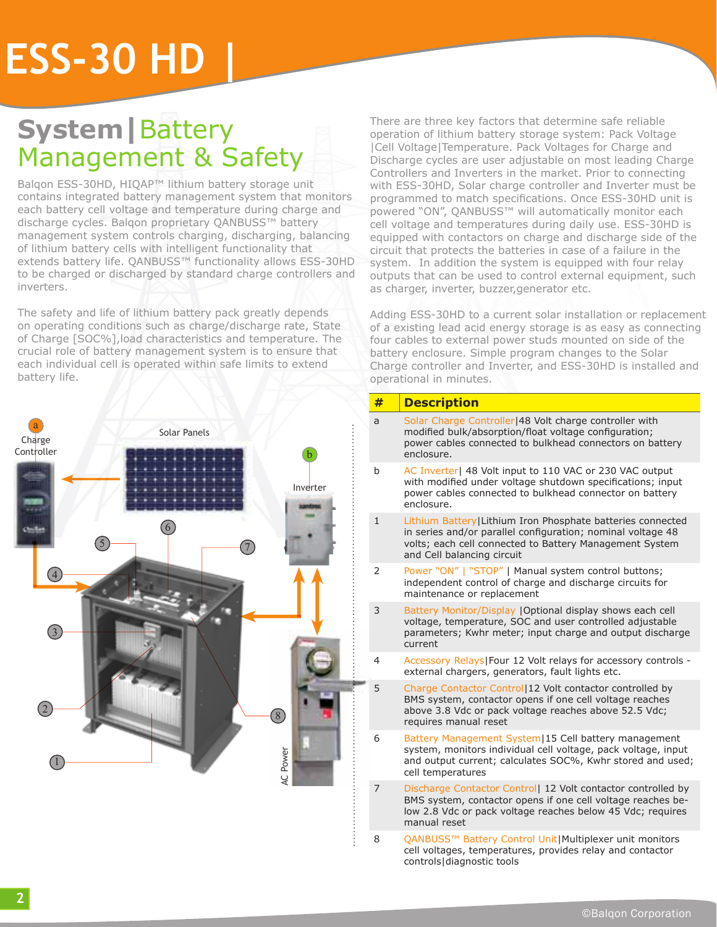# **ESS-30 HD |**

## **System|**Battery Management & Safety

Balqon ESS-30HD, HIQAP™ lithium battery storage unit contains integrated battery management system that monitors each battery cell voltage and temperature during charge and discharge cycles. Balqon proprietary QANBUSS™ battery management system controls charging, discharging, balancing of lithium battery cells with intelligent functionality that extends battery life. QANBUSS™ functionality allows ESS-30HD to be charged or discharged by standard charge controllers and inverters.

The safety and life of lithium battery pack greatly depends on operating conditions such as charge/discharge rate, State of Charge [SOC%],load characteristics and temperature. The crucial role of battery management system is to ensure that each individual cell is operated within safe limits to extend battery life.



There are three key factors that determine safe reliable operation of lithium battery storage system: Pack Voltage |Cell Voltage|Temperature. Pack Voltages for Charge and Discharge cycles are user adjustable on most leading Charge Controllers and Inverters in the market. Prior to connecting with ESS-30HD, Solar charge controller and Inverter must be programmed to match specifications. Once ESS-30HD unit is powered "ON", QANBUSS™ will automatically monitor each cell voltage and temperatures during daily use. ESS-30HD is equipped with contactors on charge and discharge side of the circuit that protects the batteries in case of a failure in the system. In addition the system is equipped with four relay outputs that can be used to control external equipment, such as charger, inverter, buzzer,generator etc.

Adding ESS-30HD to a current solar installation or replacement of a existing lead acid energy storage is as easy as connecting four cables to external power studs mounted on side of the battery enclosure. Simple program changes to the Solar Charge controller and Inverter, and ESS-30HD is installed and operational in minutes.

#### **# Description** a Solar Charge Controller|48 Volt charge controller with modified bulk/absorption/float voltage configuration; power cables connected to bulkhead connectors on battery enclosure. b AC Inverter| 48 Volt input to 110 VAC or 230 VAC output with modified under voltage shutdown specifications; input power cables connected to bulkhead connector on battery enclosure. 1 Lithium Battery|Lithium Iron Phosphate batteries connected in series and/or parallel configuration; nominal voltage 48 volts; each cell connected to Battery Management System and Cell balancing circuit 2 Power "ON" | "STOP" | Manual system control buttons; independent control of charge and discharge circuits for maintenance or replacement 3 Battery Monitor/Display |Optional display shows each cell voltage, temperature, SOC and user controlled adjustable parameters; Kwhr meter; input charge and output discharge current 4 Accessory Relays|Four 12 Volt relays for accessory controls external chargers, generators, fault lights etc. 5 Charge Contactor Control|12 Volt contactor controlled by BMS system, contactor opens if one cell voltage reaches above 3.8 Vdc or pack voltage reaches above 52.5 Vdc; requires manual reset 6 Battery Management System|15 Cell battery management system, monitors individual cell voltage, pack voltage, input and output current; calculates SOC%, Kwhr stored and used; cell temperatures 7 Discharge Contactor Control| 12 Volt contactor controlled by BMS system, contactor opens if one cell voltage reaches below 2.8 Vdc or pack voltage reaches below 45 Vdc; requires

8 QANBUSS™ Battery Control Unit|Multiplexer unit monitors cell voltages, temperatures, provides relay and contactor controls|diagnostic tools

manual reset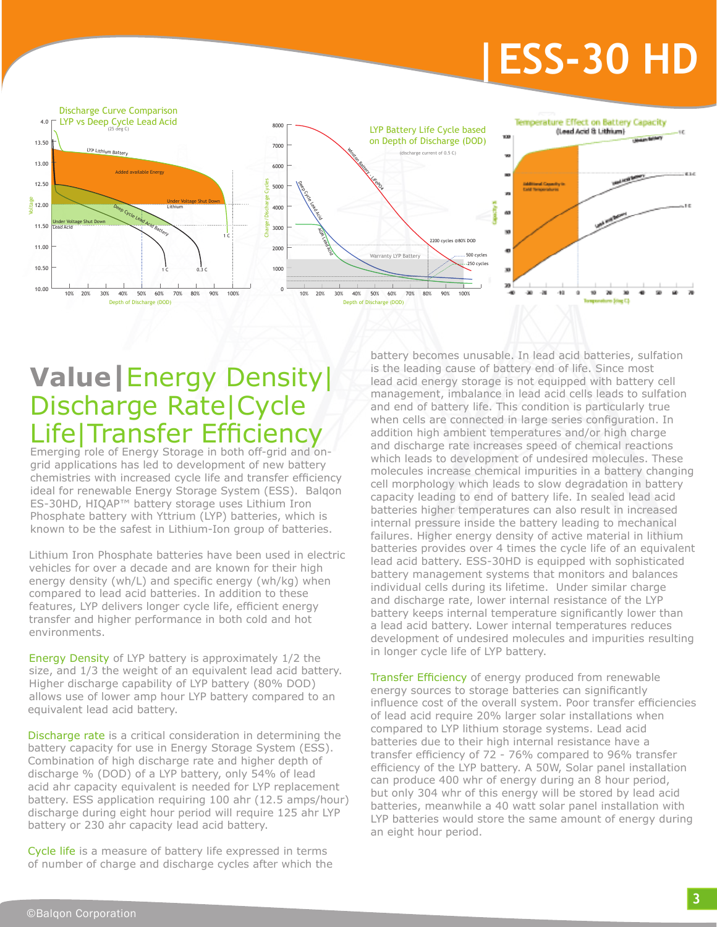# **|ESS-30 HD**



## **Value|**Energy Density| Discharge Rate|Cycle Life|Transfer Efficiency

Emerging role of Energy Storage in both off-grid and ongrid applications has led to development of new battery chemistries with increased cycle life and transfer efficiency ideal for renewable Energy Storage System (ESS). Balqon ES-30HD, HIQAP™ battery storage uses Lithium Iron Phosphate battery with Yttrium (LYP) batteries, which is known to be the safest in Lithium-Ion group of batteries.

Lithium Iron Phosphate batteries have been used in electric vehicles for over a decade and are known for their high energy density (wh/L) and specific energy (wh/kg) when compared to lead acid batteries. In addition to these features, LYP delivers longer cycle life, efficient energy transfer and higher performance in both cold and hot environments.

Energy Density of LYP battery is approximately 1/2 the size, and 1/3 the weight of an equivalent lead acid battery. Higher discharge capability of LYP battery (80% DOD) allows use of lower amp hour LYP battery compared to an equivalent lead acid battery.

Discharge rate is a critical consideration in determining the battery capacity for use in Energy Storage System (ESS). Combination of high discharge rate and higher depth of discharge % (DOD) of a LYP battery, only 54% of lead acid ahr capacity equivalent is needed for LYP replacement battery. ESS application requiring 100 ahr (12.5 amps/hour) discharge during eight hour period will require 125 ahr LYP battery or 230 ahr capacity lead acid battery.

Cycle life is a measure of battery life expressed in terms of number of charge and discharge cycles after which the battery becomes unusable. In lead acid batteries, sulfation is the leading cause of battery end of life. Since most lead acid energy storage is not equipped with battery cell management, imbalance in lead acid cells leads to sulfation and end of battery life. This condition is particularly true when cells are connected in large series configuration. In addition high ambient temperatures and/or high charge and discharge rate increases speed of chemical reactions which leads to development of undesired molecules. These molecules increase chemical impurities in a battery changing cell morphology which leads to slow degradation in battery capacity leading to end of battery life. In sealed lead acid batteries higher temperatures can also result in increased internal pressure inside the battery leading to mechanical failures. Higher energy density of active material in lithium batteries provides over 4 times the cycle life of an equivalent lead acid battery. ESS-30HD is equipped with sophisticated battery management systems that monitors and balances individual cells during its lifetime. Under similar charge and discharge rate, lower internal resistance of the LYP battery keeps internal temperature significantly lower than a lead acid battery. Lower internal temperatures reduces development of undesired molecules and impurities resulting in longer cycle life of LYP battery.

Transfer Efficiency of energy produced from renewable energy sources to storage batteries can significantly influence cost of the overall system. Poor transfer efficiencies of lead acid require 20% larger solar installations when compared to LYP lithium storage systems. Lead acid batteries due to their high internal resistance have a transfer efficiency of 72 - 76% compared to 96% transfer efficiency of the LYP battery. A 50W, Solar panel installation can produce 400 whr of energy during an 8 hour period, but only 304 whr of this energy will be stored by lead acid batteries, meanwhile a 40 watt solar panel installation with LYP batteries would store the same amount of energy during an eight hour period.